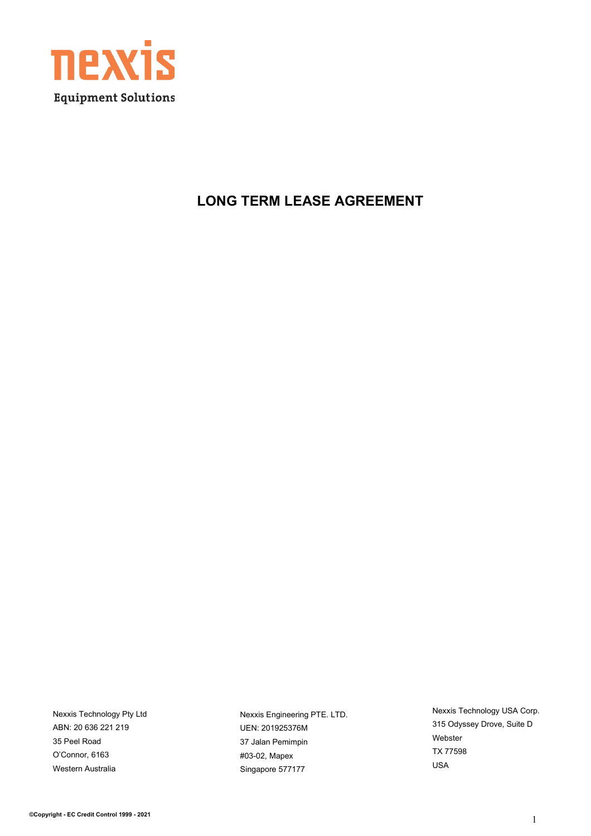

### **LONG TERM LEASE AGREEMENT**

Nexxis Technology Pty Ltd ABN: 20 636 221 219 35 Peel Road O'Connor, 6163 Western Australia

Nexxis Engineering PTE. LTD. UEN: 201925376M 37 Jalan Pemimpin #03-02, Mapex Singapore 577177

Nexxis Technology USA Corp. 315 Odyssey Drove, Suite D Webster TX 77598 USA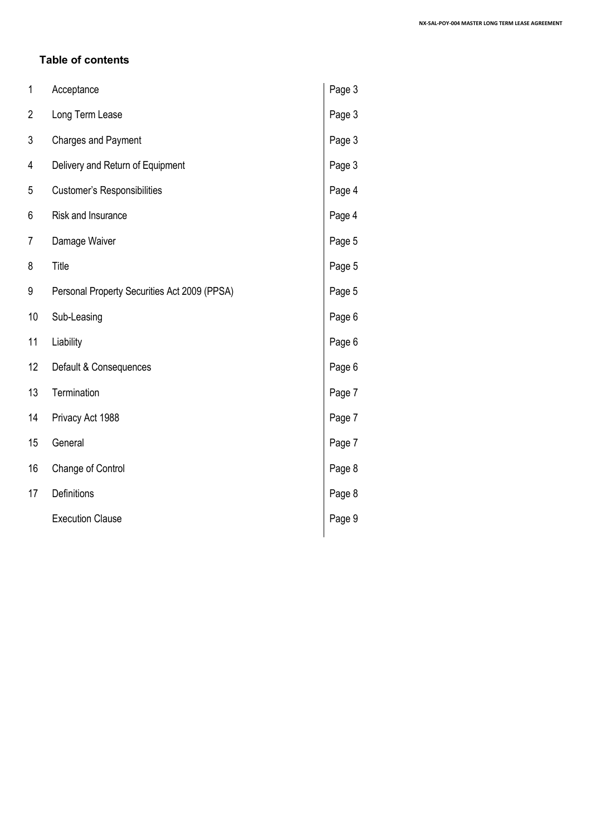#### **Table of contents**

| 1  | Acceptance                                   | Page 3 |
|----|----------------------------------------------|--------|
| 2  | Long Term Lease                              | Page 3 |
| 3  | <b>Charges and Payment</b>                   | Page 3 |
| 4  | Delivery and Return of Equipment             | Page 3 |
| 5  | <b>Customer's Responsibilities</b>           | Page 4 |
| 6  | Risk and Insurance                           | Page 4 |
| 7  | Damage Waiver                                | Page 5 |
| 8  | Title                                        | Page 5 |
| 9  | Personal Property Securities Act 2009 (PPSA) | Page 5 |
| 10 | Sub-Leasing                                  | Page 6 |
| 11 | Liability                                    | Page 6 |
| 12 | Default & Consequences                       | Page 6 |
| 13 | Termination                                  | Page 7 |
| 14 | Privacy Act 1988                             | Page 7 |
| 15 | General                                      | Page 7 |
| 16 | Change of Control                            | Page 8 |
| 17 | Definitions                                  | Page 8 |
|    | <b>Execution Clause</b>                      | Page 9 |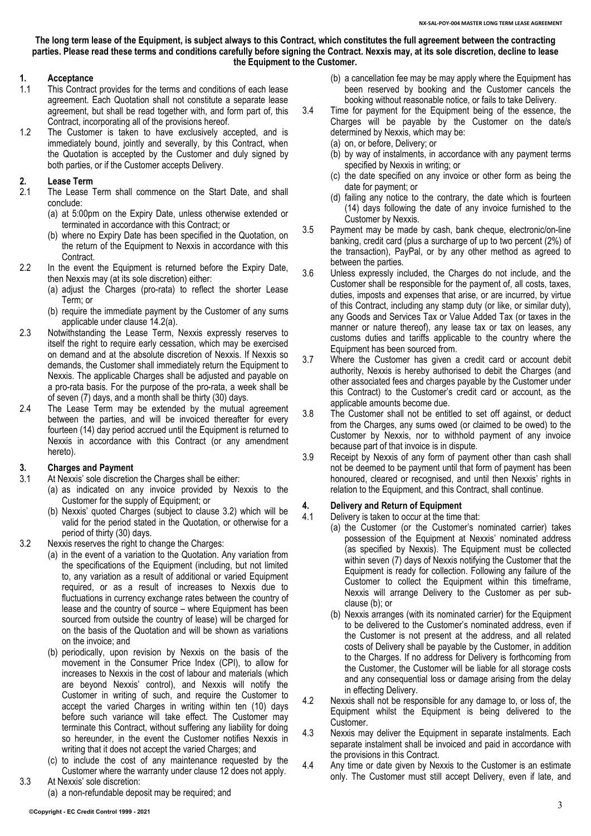**The long term lease of the Equipment, is subject always to this Contract, which constitutes the full agreement between the contracting parties. Please read these terms and conditions carefully before signing the Contract. Nexxis may, at its sole discretion, decline to lease the Equipment to the Customer.**

#### **1. Acceptance**

- 1.1 This Contract provides for the terms and conditions of each lease agreement. Each Quotation shall not constitute a separate lease agreement, but shall be read together with, and form part of, this Contract, incorporating all of the provisions hereof.
- 1.2 The Customer is taken to have exclusively accepted, and is immediately bound, jointly and severally, by this Contract, when the Quotation is accepted by the Customer and duly signed by both parties, or if the Customer accepts Delivery.

## **2. Lease Term**

- The Lease Term shall commence on the Start Date, and shall conclude:
	- (a) at 5:00pm on the Expiry Date, unless otherwise extended or terminated in accordance with this Contract; or
	- (b) where no Expiry Date has been specified in the Quotation, on the return of the Equipment to Nexxis in accordance with this Contract.
- 2.2 In the event the Equipment is returned before the Expiry Date, then Nexxis may (at its sole discretion) either:
	- (a) adjust the Charges (pro-rata) to reflect the shorter Lease Term; or
	- (b) require the immediate payment by the Customer of any sums applicable under clause [14.2\(a\).](#page-6-0)
- 2.3 Notwithstanding the Lease Term, Nexxis expressly reserves to itself the right to require early cessation, which may be exercised on demand and at the absolute discretion of Nexxis. If Nexxis so demands, the Customer shall immediately return the Equipment to Nexxis. The applicable Charges shall be adjusted and payable on a pro-rata basis. For the purpose of the pro-rata, a week shall be of seven (7) days, and a month shall be thirty (30) days.
- 2.4 The Lease Term may be extended by the mutual agreement between the parties, and will be invoiced thereafter for every fourteen (14) day period accrued until the Equipment is returned to Nexxis in accordance with this Contract (or any amendment hereto).

#### <span id="page-2-2"></span>**3. Charges and Payment**

- 3.1 At Nexxis' sole discretion the Charges shall be either:
	- (a) as indicated on any invoice provided by Nexxis to the Customer for the supply of Equipment; or
	- (b) Nexxis' quoted Charges (subject to clause [3.2\)](#page-2-0) which will be valid for the period stated in the Quotation, or otherwise for a period of thirty (30) days.
- <span id="page-2-0"></span>3.2 Nexxis reserves the right to change the Charges:
	- (a) in the event of a variation to the Quotation. Any variation from the specifications of the Equipment (including, but not limited to, any variation as a result of additional or varied Equipment required, or as a result of increases to Nexxis due to fluctuations in currency exchange rates between the country of lease and the country of source – where Equipment has been sourced from outside the country of lease) will be charged for on the basis of the Quotation and will be shown as variations on the invoice; and
	- (b) periodically, upon revision by Nexxis on the basis of the movement in the Consumer Price Index (CPI), to allow for increases to Nexxis in the cost of labour and materials (which are beyond Nexxis' control), and Nexxis will notify the Customer in writing of such, and require the Customer to accept the varied Charges in writing within ten (10) days before such variance will take effect. The Customer may terminate this Contract, without suffering any liability for doing so hereunder, in the event the Customer notifies Nexxis in writing that it does not accept the varied Charges; and
	- (c) to include the cost of any maintenance requested by the Customer where the warranty under clause [12](#page-5-0) does not apply.
- 3.3 At Nexxis' sole discretion:
	- (a) a non-refundable deposit may be required; and
- (b) a cancellation fee may be may apply where the Equipment has been reserved by booking and the Customer cancels the booking without reasonable notice, or fails to take Delivery.
- 3.4 Time for payment for the Equipment being of the essence, the Charges will be payable by the Customer on the date/s determined by Nexxis, which may be:
	- (a) on, or before, Delivery; or
	- (b) by way of instalments, in accordance with any payment terms specified by Nexxis in writing; or
	- (c) the date specified on any invoice or other form as being the date for payment; or
	- (d) failing any notice to the contrary, the date which is fourteen (14) days following the date of any invoice furnished to the Customer by Nexxis.
- 3.5 Payment may be made by cash, bank cheque, electronic/on-line banking, credit card (plus a surcharge of up to two percent (2%) of the transaction), PayPal, or by any other method as agreed to between the parties.
- 3.6 Unless expressly included, the Charges do not include, and the Customer shall be responsible for the payment of, all costs, taxes, duties, imposts and expenses that arise, or are incurred, by virtue of this Contract, including any stamp duty (or like, or similar duty), any Goods and Services Tax or Value Added Tax (or taxes in the manner or nature thereof), any lease tax or tax on leases, any customs duties and tariffs applicable to the country where the Equipment has been sourced from.
- 3.7 Where the Customer has given a credit card or account debit authority, Nexxis is hereby authorised to debit the Charges (and other associated fees and charges payable by the Customer under this Contract) to the Customer's credit card or account, as the applicable amounts become due.
- 3.8 The Customer shall not be entitled to set off against, or deduct from the Charges, any sums owed (or claimed to be owed) to the Customer by Nexxis, nor to withhold payment of any invoice because part of that invoice is in dispute.
- 3.9 Receipt by Nexxis of any form of payment other than cash shall not be deemed to be payment until that form of payment has been honoured, cleared or recognised, and until then Nexxis' rights in relation to the Equipment, and this Contract, shall continue.

# <span id="page-2-3"></span>**4. Delivery and Return of Equipment**

- Delivery is taken to occur at the time that:
	- (a) the Customer (or the Customer's nominated carrier) takes possession of the Equipment at Nexxis' nominated address (as specified by Nexxis). The Equipment must be collected within seven (7) days of Nexxis notifying the Customer that the Equipment is ready for collection. Following any failure of the Customer to collect the Equipment within this timeframe, Nexxis will arrange Delivery to the Customer as per subclaus[e \(b\);](#page-2-1) or
	- (b) Nexxis arranges (with its nominated carrier) for the Equipment to be delivered to the Customer's nominated address, even if the Customer is not present at the address, and all related costs of Delivery shall be payable by the Customer, in addition to the Charges. If no address for Delivery is forthcoming from the Customer, the Customer will be liable for all storage costs and any consequential loss or damage arising from the delay in effecting Delivery.
- <span id="page-2-1"></span>4.2 Nexxis shall not be responsible for any damage to, or loss of, the Equipment whilst the Equipment is being delivered to the Customer.
- 4.3 Nexxis may deliver the Equipment in separate instalments. Each separate instalment shall be invoiced and paid in accordance with the provisions in this Contract.
- 4.4 Any time or date given by Nexxis to the Customer is an estimate only. The Customer must still accept Delivery, even if late, and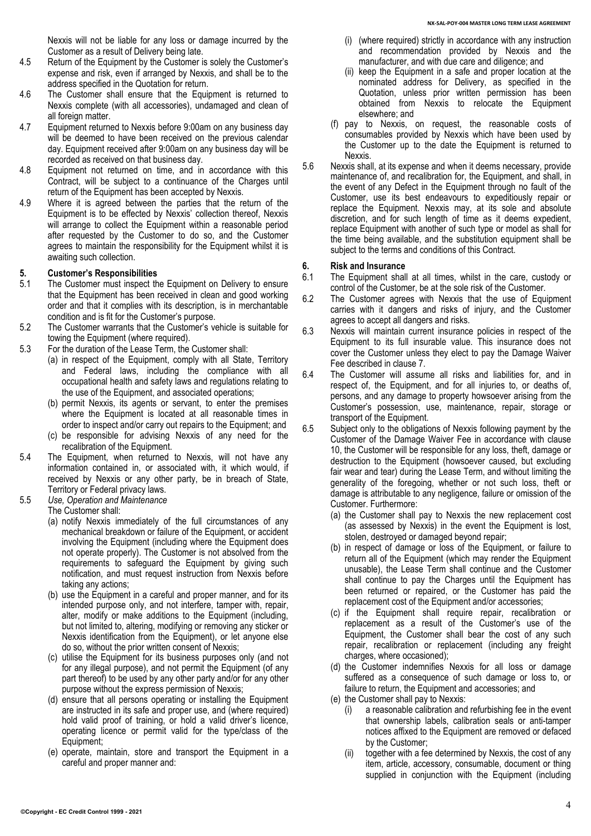Nexxis will not be liable for any loss or damage incurred by the Customer as a result of Delivery being late.

- 4.5 Return of the Equipment by the Customer is solely the Customer's expense and risk, even if arranged by Nexxis, and shall be to the address specified in the Quotation for return.
- 4.6 The Customer shall ensure that the Equipment is returned to Nexxis complete (with all accessories), undamaged and clean of all foreign matter.
- 4.7 Equipment returned to Nexxis before 9:00am on any business day will be deemed to have been received on the previous calendar day. Equipment received after 9:00am on any business day will be recorded as received on that business day.
- 4.8 Equipment not returned on time, and in accordance with this Contract, will be subject to a continuance of the Charges until return of the Equipment has been accepted by Nexxis.
- 4.9 Where it is agreed between the parties that the return of the Equipment is to be effected by Nexxis' collection thereof, Nexxis will arrange to collect the Equipment within a reasonable period after requested by the Customer to do so, and the Customer agrees to maintain the responsibility for the Equipment whilst it is awaiting such collection.

### **5. Customer's Responsibilities**

- The Customer must inspect the Equipment on Delivery to ensure that the Equipment has been received in clean and good working order and that it complies with its description, is in merchantable condition and is fit for the Customer's purpose.
- 5.2 The Customer warrants that the Customer's vehicle is suitable for towing the Equipment (where required).
- 5.3 For the duration of the Lease Term, the Customer shall:
	- (a) in respect of the Equipment, comply with all State, Territory and Federal laws, including the compliance with all occupational health and safety laws and regulations relating to the use of the Equipment, and associated operations;
	- (b) permit Nexxis, its agents or servant, to enter the premises where the Equipment is located at all reasonable times in order to inspect and/or carry out repairs to the Equipment; and
	- (c) be responsible for advising Nexxis of any need for the recalibration of the Equipment.
- 5.4 The Equipment, when returned to Nexxis, will not have any information contained in, or associated with, it which would, if received by Nexxis or any other party, be in breach of State, Territory or Federal privacy laws.
- 5.5 *Use, Operation and Maintenance*

The Customer shall:

- (a) notify Nexxis immediately of the full circumstances of any mechanical breakdown or failure of the Equipment, or accident involving the Equipment (including where the Equipment does not operate properly). The Customer is not absolved from the requirements to safeguard the Equipment by giving such notification, and must request instruction from Nexxis before taking any actions;
- (b) use the Equipment in a careful and proper manner, and for its intended purpose only, and not interfere, tamper with, repair, alter, modify or make additions to the Equipment (including, but not limited to, altering, modifying or removing any sticker or Nexxis identification from the Equipment), or let anyone else do so, without the prior written consent of Nexxis;
- (c) utilise the Equipment for its business purposes only (and not for any illegal purpose), and not permit the Equipment (of any part thereof) to be used by any other party and/or for any other purpose without the express permission of Nexxis;
- (d) ensure that all persons operating or installing the Equipment are instructed in its safe and proper use, and (where required) hold valid proof of training, or hold a valid driver's licence, operating licence or permit valid for the type/class of the Equipment;
- (e) operate, maintain, store and transport the Equipment in a careful and proper manner and:
- (i) (where required) strictly in accordance with any instruction and recommendation provided by Nexxis and the manufacturer, and with due care and diligence; and
- (ii) keep the Equipment in a safe and proper location at the nominated address for Delivery, as specified in the Quotation, unless prior written permission has been obtained from Nexxis to relocate the Equipment elsewhere; and
- (f) pay to Nexxis, on request, the reasonable costs of consumables provided by Nexxis which have been used by the Customer up to the date the Equipment is returned to Nexxis.
- 5.6 Nexxis shall, at its expense and when it deems necessary, provide maintenance of, and recalibration for, the Equipment, and shall, in the event of any Defect in the Equipment through no fault of the Customer, use its best endeavours to expeditiously repair or replace the Equipment. Nexxis may, at its sole and absolute discretion, and for such length of time as it deems expedient, replace Equipment with another of such type or model as shall for the time being available, and the substitution equipment shall be subject to the terms and conditions of this Contract.

# **6. Risk and Insurance**

- The Equipment shall at all times, whilst in the care, custody or control of the Customer, be at the sole risk of the Customer.
- 6.2 The Customer agrees with Nexxis that the use of Equipment carries with it dangers and risks of injury, and the Customer agrees to accept all dangers and risks.
- 6.3 Nexxis will maintain current insurance policies in respect of the Equipment to its full insurable value. This insurance does not cover the Customer unless they elect to pay the Damage Waiver Fee described in clause [7.](#page-4-0)
- 6.4 The Customer will assume all risks and liabilities for, and in respect of, the Equipment, and for all injuries to, or deaths of, persons, and any damage to property howsoever arising from the Customer's possession, use, maintenance, repair, storage or transport of the Equipment.
- 6.5 Subject only to the obligations of Nexxis following payment by the Customer of the Damage Waiver Fee in accordance with clause [10,](#page-4-0) the Customer will be responsible for any loss, theft, damage or destruction to the Equipment (howsoever caused, but excluding fair wear and tear) during the Lease Term, and without limiting the generality of the foregoing, whether or not such loss, theft or damage is attributable to any negligence, failure or omission of the Customer. Furthermore:
	- (a) the Customer shall pay to Nexxis the new replacement cost (as assessed by Nexxis) in the event the Equipment is lost, stolen, destroyed or damaged beyond repair;
	- (b) in respect of damage or loss of the Equipment, or failure to return all of the Equipment (which may render the Equipment unusable), the Lease Term shall continue and the Customer shall continue to pay the Charges until the Equipment has been returned or repaired, or the Customer has paid the replacement cost of the Equipment and/or accessories;
	- (c) if the Equipment shall require repair, recalibration or replacement as a result of the Customer's use of the Equipment, the Customer shall bear the cost of any such repair, recalibration or replacement (including any freight charges, where occasioned);
	- (d) the Customer indemnifies Nexxis for all loss or damage suffered as a consequence of such damage or loss to, or failure to return, the Equipment and accessories; and
	- (e) the Customer shall pay to Nexxis:
		- (i) a reasonable calibration and refurbishing fee in the event that ownership labels, calibration seals or anti-tamper notices affixed to the Equipment are removed or defaced by the Customer;
		- (ii) together with a fee determined by Nexxis, the cost of any item, article, accessory, consumable, document or thing supplied in conjunction with the Equipment (including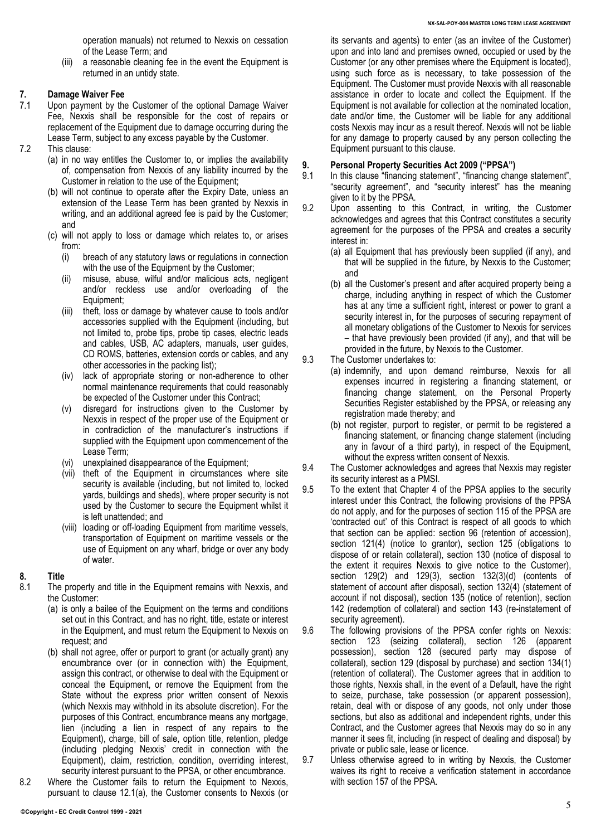operation manuals) not returned to Nexxis on cessation of the Lease Term; and

(iii) a reasonable cleaning fee in the event the Equipment is returned in an untidy state.

### <span id="page-4-0"></span>**7. Damage Waiver Fee**

- Upon payment by the Customer of the optional Damage Waiver Fee, Nexxis shall be responsible for the cost of repairs or replacement of the Equipment due to damage occurring during the Lease Term, subject to any excess payable by the Customer.
- 7.2 This clause:
	- (a) in no way entitles the Customer to, or implies the availability of, compensation from Nexxis of any liability incurred by the Customer in relation to the use of the Equipment;
	- (b) will not continue to operate after the Expiry Date, unless an extension of the Lease Term has been granted by Nexxis in writing, and an additional agreed fee is paid by the Customer; and
	- (c) will not apply to loss or damage which relates to, or arises from:
		- (i) breach of any statutory laws or regulations in connection with the use of the Equipment by the Customer;
		- (ii) misuse, abuse, wilful and/or malicious acts, negligent and/or reckless use and/or overloading of the Equipment;
		- (iii) theft, loss or damage by whatever cause to tools and/or accessories supplied with the Equipment (including, but not limited to, probe tips, probe tip cases, electric leads and cables, USB, AC adapters, manuals, user guides, CD ROMS, batteries, extension cords or cables, and any other accessories in the packing list);
		- (iv) lack of appropriate storing or non-adherence to other normal maintenance requirements that could reasonably be expected of the Customer under this Contract;
		- (v) disregard for instructions given to the Customer by Nexxis in respect of the proper use of the Equipment or in contradiction of the manufacturer's instructions if supplied with the Equipment upon commencement of the Lease Term;
		- (vi) unexplained disappearance of the Equipment;
		- (vii) theft of the Equipment in circumstances where site security is available (including, but not limited to, locked yards, buildings and sheds), where proper security is not used by the Customer to secure the Equipment whilst it is left unattended; and
		- (viii) loading or off-loading Equipment from maritime vessels, transportation of Equipment on maritime vessels or the use of Equipment on any wharf, bridge or over any body of water.

### **8. Title**

- The property and title in the Equipment remains with Nexxis, and the Customer:
	- (a) is only a bailee of the Equipment on the terms and conditions set out in this Contract, and has no right, title, estate or interest in the Equipment, and must return the Equipment to Nexxis on request; and
	- (b) shall not agree, offer or purport to grant (or actually grant) any encumbrance over (or in connection with) the Equipment, assign this contract, or otherwise to deal with the Equipment or conceal the Equipment, or remove the Equipment from the State without the express prior written consent of Nexxis (which Nexxis may withhold in its absolute discretion). For the purposes of this Contract, encumbrance means any mortgage, lien (including a lien in respect of any repairs to the Equipment), charge, bill of sale, option title, retention, pledge (including pledging Nexxis' credit in connection with the Equipment), claim, restriction, condition, overriding interest, security interest pursuant to the PPSA, or other encumbrance.
- 8.2 Where the Customer fails to return the Equipment to Nexxis, pursuant to clause 12.1(a), the Customer consents to Nexxis (or

its servants and agents) to enter (as an invitee of the Customer) upon and into land and premises owned, occupied or used by the Customer (or any other premises where the Equipment is located), using such force as is necessary, to take possession of the Equipment. The Customer must provide Nexxis with all reasonable assistance in order to locate and collect the Equipment. If the Equipment is not available for collection at the nominated location, date and/or time, the Customer will be liable for any additional costs Nexxis may incur as a result thereof. Nexxis will not be liable for any damage to property caused by any person collecting the Equipment pursuant to this clause.

## <span id="page-4-2"></span>**9. Personal Property Securities Act 2009 ("PPSA")**

- In this clause "financing statement", "financing change statement", "security agreement", and "security interest" has the meaning given to it by the PPSA.
- 9.2 Upon assenting to this Contract, in writing, the Customer acknowledges and agrees that this Contract constitutes a security agreement for the purposes of the PPSA and creates a security interest in:
	- (a) all Equipment that has previously been supplied (if any), and that will be supplied in the future, by Nexxis to the Customer; and
	- (b) all the Customer's present and after acquired property being a charge, including anything in respect of which the Customer has at any time a sufficient right, interest or power to grant a security interest in, for the purposes of securing repayment of all monetary obligations of the Customer to Nexxis for services – that have previously been provided (if any), and that will be provided in the future, by Nexxis to the Customer.
- <span id="page-4-3"></span><span id="page-4-1"></span>9.3 The Customer undertakes to:
	- (a) indemnify, and upon demand reimburse, Nexxis for all expenses incurred in registering a financing statement, or financing change statement, on the Personal Property Securities Register established by the PPSA, or releasing any registration made thereby; and
	- (b) not register, purport to register, or permit to be registered a financing statement, or financing change statement (including any in favour of a third party), in respect of the Equipment, without the express written consent of Nexxis.
- 9.4 The Customer acknowledges and agrees that Nexxis may register its security interest as a PMSI.
- 9.5 To the extent that Chapter 4 of the PPSA applies to the security interest under this Contract, the following provisions of the PPSA do not apply, and for the purposes of section 115 of the PPSA are 'contracted out' of this Contract is respect of all goods to which that section can be applied: section 96 (retention of accession), section 121(4) (notice to grantor), section 125 (obligations to dispose of or retain collateral), section 130 (notice of disposal to the extent it requires Nexxis to give notice to the Customer), section 129(2) and 129(3), section 132(3)(d) (contents of statement of account after disposal), section 132(4) (statement of account if not disposal), section 135 (notice of retention), section 142 (redemption of collateral) and section 143 (re-instatement of security agreement).
- 9.6 The following provisions of the PPSA confer rights on Nexxis: section 123 (seizing collateral), section 126 (apparent possession), section 128 (secured party may dispose of collateral), section 129 (disposal by purchase) and section 134(1) (retention of collateral). The Customer agrees that in addition to those rights, Nexxis shall, in the event of a Default, have the right to seize, purchase, take possession (or apparent possession), retain, deal with or dispose of any goods, not only under those sections, but also as additional and independent rights, under this Contract, and the Customer agrees that Nexxis may do so in any manner it sees fit, including (in respect of dealing and disposal) by private or public sale, lease or licence.
- 9.7 Unless otherwise agreed to in writing by Nexxis, the Customer waives its right to receive a verification statement in accordance with section 157 of the PPSA.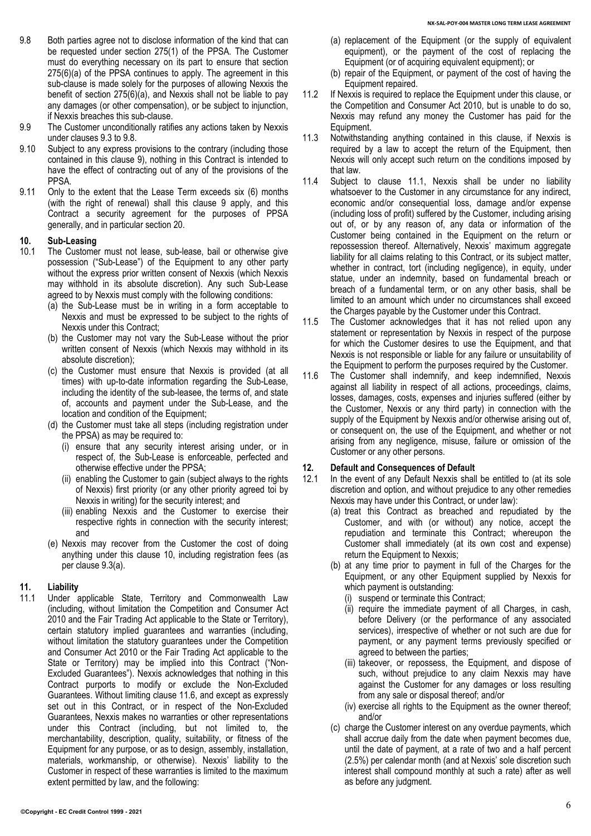- <span id="page-5-1"></span>9.8 Both parties agree not to disclose information of the kind that can be requested under section 275(1) of the PPSA. The Customer must do everything necessary on its part to ensure that section 275(6)(a) of the PPSA continues to apply. The agreement in this sub-clause is made solely for the purposes of allowing Nexxis the benefit of section 275(6)(a), and Nexxis shall not be liable to pay any damages (or other compensation), or be subject to injunction, if Nexxis breaches this sub-clause.
- 9.9 The Customer unconditionally ratifies any actions taken by Nexxis under clause[s 9.3](#page-4-1) to [9.8.](#page-5-1)
- 9.10 Subject to any express provisions to the contrary (including those contained in this clause [9\)](#page-4-2), nothing in this Contract is intended to have the effect of contracting out of any of the provisions of the PPSA.
- 9.11 Only to the extent that the Lease Term exceeds six (6) months (with the right of renewal) shall this clause 9 apply, and this Contract a security agreement for the purposes of PPSA generally, and in particular section 20.

# <span id="page-5-2"></span>**10. Sub-Leasing**

- The Customer must not lease, sub-lease, bail or otherwise give possession ("Sub-Lease") of the Equipment to any other party without the express prior written consent of Nexxis (which Nexxis may withhold in its absolute discretion). Any such Sub-Lease agreed to by Nexxis must comply with the following conditions:
	- (a) the Sub-Lease must be in writing in a form acceptable to Nexxis and must be expressed to be subject to the rights of Nexxis under this Contract;
	- (b) the Customer may not vary the Sub-Lease without the prior written consent of Nexxis (which Nexxis may withhold in its absolute discretion);
	- (c) the Customer must ensure that Nexxis is provided (at all times) with up-to-date information regarding the Sub-Lease, including the identity of the sub-leasee, the terms of, and state of, accounts and payment under the Sub-Lease, and the location and condition of the Equipment;
	- (d) the Customer must take all steps (including registration under the PPSA) as may be required to:
		- (i) ensure that any security interest arising under, or in respect of, the Sub-Lease is enforceable, perfected and otherwise effective under the PPSA;
		- (ii) enabling the Customer to gain (subject always to the rights of Nexxis) first priority (or any other priority agreed toi by Nexxis in writing) for the security interest; and
		- (iii) enabling Nexxis and the Customer to exercise their respective rights in connection with the security interest; and
	- (e) Nexxis may recover from the Customer the cost of doing anything under this clause [10,](#page-5-2) including registration fees (as per claus[e 9.3\(a\).](#page-4-3)

### <span id="page-5-0"></span>**11. Liability**

11.1 Under applicable State, Territory and Commonwealth Law (including, without limitation the Competition and Consumer Act 2010 and the Fair Trading Act applicable to the State or Territory), certain statutory implied guarantees and warranties (including, without limitation the statutory guarantees under the Competition and Consumer Act 2010 or the Fair Trading Act applicable to the State or Territory) may be implied into this Contract ("Non-Excluded Guarantees"). Nexxis acknowledges that nothing in this Contract purports to modify or exclude the Non-Excluded Guarantees. Without limiting clause 11.6, and except as expressly set out in this Contract, or in respect of the Non-Excluded Guarantees, Nexxis makes no warranties or other representations under this Contract (including, but not limited to, the merchantability, description, quality, suitability, or fitness of the Equipment for any purpose, or as to design, assembly, installation, materials, workmanship, or otherwise). Nexxis' liability to the Customer in respect of these warranties is limited to the maximum extent permitted by law, and the following:

- (a) replacement of the Equipment (or the supply of equivalent equipment), or the payment of the cost of replacing the Equipment (or of acquiring equivalent equipment); or
- (b) repair of the Equipment, or payment of the cost of having the Equipment repaired.
- 11.2 If Nexxis is required to replace the Equipment under this clause, or the Competition and Consumer Act 2010, but is unable to do so, Nexxis may refund any money the Customer has paid for the Equipment.
- 11.3 Notwithstanding anything contained in this clause, if Nexxis is required by a law to accept the return of the Equipment, then Nexxis will only accept such return on the conditions imposed by that law.
- 11.4 Subject to clause 11.1, Nexxis shall be under no liability whatsoever to the Customer in any circumstance for any indirect, economic and/or consequential loss, damage and/or expense (including loss of profit) suffered by the Customer, including arising out of, or by any reason of, any data or information of the Customer being contained in the Equipment on the return or repossession thereof. Alternatively, Nexxis' maximum aggregate liability for all claims relating to this Contract, or its subject matter, whether in contract, tort (including negligence), in equity, under statue, under an indemnity, based on fundamental breach or breach of a fundamental term, or on any other basis, shall be limited to an amount which under no circumstances shall exceed the Charges payable by the Customer under this Contract.
- 11.5 The Customer acknowledges that it has not relied upon any statement or representation by Nexxis in respect of the purpose for which the Customer desires to use the Equipment, and that Nexxis is not responsible or liable for any failure or unsuitability of the Equipment to perform the purposes required by the Customer.
- 11.6 The Customer shall indemnify, and keep indemnified, Nexxis against all liability in respect of all actions, proceedings, claims, losses, damages, costs, expenses and injuries suffered (either by the Customer, Nexxis or any third party) in connection with the supply of the Equipment by Nexxis and/or otherwise arising out of, or consequent on, the use of the Equipment, and whether or not arising from any negligence, misuse, failure or omission of the Customer or any other persons.

### **12. Default and Consequences of Default**

- 12.1 In the event of any Default Nexxis shall be entitled to (at its sole discretion and option, and without prejudice to any other remedies Nexxis may have under this Contract, or under law):
	- (a) treat this Contract as breached and repudiated by the Customer, and with (or without) any notice, accept the repudiation and terminate this Contract; whereupon the Customer shall immediately (at its own cost and expense) return the Equipment to Nexxis;
	- (b) at any time prior to payment in full of the Charges for the Equipment, or any other Equipment supplied by Nexxis for which payment is outstanding:
		- (i) suspend or terminate this Contract;
		- (ii) require the immediate payment of all Charges, in cash, before Delivery (or the performance of any associated services), irrespective of whether or not such are due for payment, or any payment terms previously specified or agreed to between the parties;
		- (iii) takeover, or repossess, the Equipment, and dispose of such, without prejudice to any claim Nexxis may have against the Customer for any damages or loss resulting from any sale or disposal thereof; and/or
		- (iv) exercise all rights to the Equipment as the owner thereof; and/or
	- (c) charge the Customer interest on any overdue payments, which shall accrue daily from the date when payment becomes due, until the date of payment, at a rate of two and a half percent (2.5%) per calendar month (and at Nexxis' sole discretion such interest shall compound monthly at such a rate) after as well as before any judgment.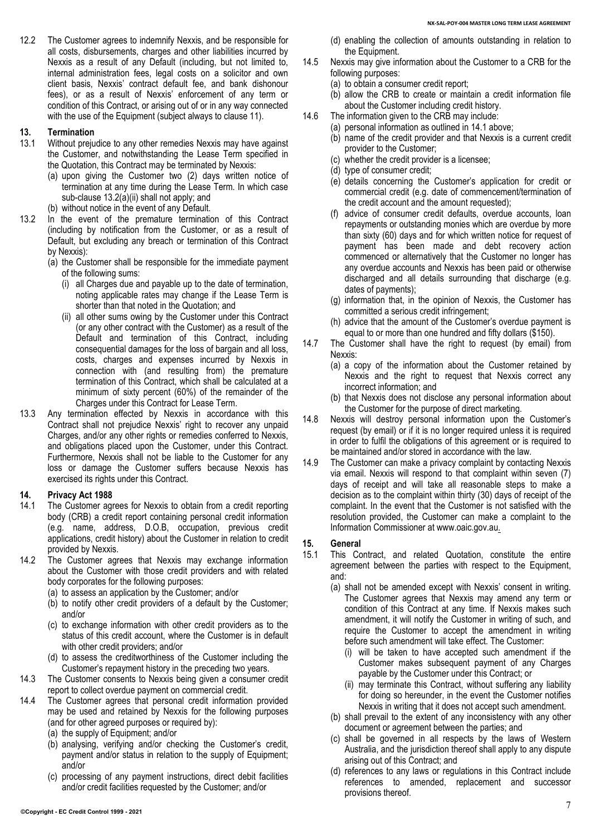12.2 The Customer agrees to indemnify Nexxis, and be responsible for all costs, disbursements, charges and other liabilities incurred by Nexxis as a result of any Default (including, but not limited to, internal administration fees, legal costs on a solicitor and own client basis, Nexxis' contract default fee, and bank dishonour fees), or as a result of Nexxis' enforcement of any term or condition of this Contract, or arising out of or in any way connected with the use of the Equipment (subject always to clause 11).

### **13. Termination**

- Without prejudice to any other remedies Nexxis may have against the Customer, and notwithstanding the Lease Term specified in the Quotation, this Contract may be terminated by Nexxis:
	- (a) upon giving the Customer two (2) days written notice of termination at any time during the Lease Term. In which case sub-clause 13.2(a)(ii) shall not apply; and
	- (b) without notice in the event of any Default.
- <span id="page-6-0"></span>13.2 In the event of the premature termination of this Contract (including by notification from the Customer, or as a result of Default, but excluding any breach or termination of this Contract by Nexxis):
	- (a) the Customer shall be responsible for the immediate payment of the following sums:
		- (i) all Charges due and payable up to the date of termination, noting applicable rates may change if the Lease Term is shorter than that noted in the Quotation; and
		- (ii) all other sums owing by the Customer under this Contract (or any other contract with the Customer) as a result of the Default and termination of this Contract, including consequential damages for the loss of bargain and all loss, costs, charges and expenses incurred by Nexxis in connection with (and resulting from) the premature termination of this Contract, which shall be calculated at a minimum of sixty percent (60%) of the remainder of the Charges under this Contract for Lease Term.
- 13.3 Any termination effected by Nexxis in accordance with this Contract shall not prejudice Nexxis' right to recover any unpaid Charges, and/or any other rights or remedies conferred to Nexxis, and obligations placed upon the Customer, under this Contract. Furthermore, Nexxis shall not be liable to the Customer for any loss or damage the Customer suffers because Nexxis has exercised its rights under this Contract.

# **14. Privacy Act 1988**

- The Customer agrees for Nexxis to obtain from a credit reporting body (CRB) a credit report containing personal credit information (e.g. name, address, D.O.B, occupation, previous credit applications, credit history) about the Customer in relation to credit provided by Nexxis.
- 14.2 The Customer agrees that Nexxis may exchange information about the Customer with those credit providers and with related body corporates for the following purposes:
	- (a) to assess an application by the Customer; and/or
	- (b) to notify other credit providers of a default by the Customer; and/or
	- (c) to exchange information with other credit providers as to the status of this credit account, where the Customer is in default with other credit providers; and/or
	- (d) to assess the creditworthiness of the Customer including the Customer's repayment history in the preceding two years.
- 14.3 The Customer consents to Nexxis being given a consumer credit report to collect overdue payment on commercial credit.
- 14.4 The Customer agrees that personal credit information provided may be used and retained by Nexxis for the following purposes (and for other agreed purposes or required by):
	- (a) the supply of Equipment; and/or
	- (b) analysing, verifying and/or checking the Customer's credit, payment and/or status in relation to the supply of Equipment; and/or
	- (c) processing of any payment instructions, direct debit facilities and/or credit facilities requested by the Customer; and/or
- (d) enabling the collection of amounts outstanding in relation to the Equipment.
- 14.5 Nexxis may give information about the Customer to a CRB for the following purposes:
	- (a) to obtain a consumer credit report;
	- (b) allow the CRB to create or maintain a credit information file about the Customer including credit history.
- 14.6 The information given to the CRB may include:
	- (a) personal information as outlined in 14.1 above;
		- (b) name of the credit provider and that Nexxis is a current credit provider to the Customer;
		- (c) whether the credit provider is a licensee;
	- (d) type of consumer credit;
	- (e) details concerning the Customer's application for credit or commercial credit (e.g. date of commencement/termination of the credit account and the amount requested);
	- (f) advice of consumer credit defaults, overdue accounts, loan repayments or outstanding monies which are overdue by more than sixty (60) days and for which written notice for request of payment has been made and debt recovery action commenced or alternatively that the Customer no longer has any overdue accounts and Nexxis has been paid or otherwise discharged and all details surrounding that discharge (e.g. dates of payments);
	- (g) information that, in the opinion of Nexxis, the Customer has committed a serious credit infringement;
	- (h) advice that the amount of the Customer's overdue payment is equal to or more than one hundred and fifty dollars (\$150).
- 14.7 The Customer shall have the right to request (by email) from Nexxis:
	- (a) a copy of the information about the Customer retained by Nexxis and the right to request that Nexxis correct any incorrect information; and
	- (b) that Nexxis does not disclose any personal information about the Customer for the purpose of direct marketing.
- 14.8 Nexxis will destroy personal information upon the Customer's request (by email) or if it is no longer required unless it is required in order to fulfil the obligations of this agreement or is required to be maintained and/or stored in accordance with the law.
- 14.9 The Customer can make a privacy complaint by contacting Nexxis via email. Nexxis will respond to that complaint within seven (7) days of receipt and will take all reasonable steps to make a decision as to the complaint within thirty (30) days of receipt of the complaint. In the event that the Customer is not satisfied with the resolution provided, the Customer can make a complaint to the Information Commissioner at www.oaic.gov.au.

#### **15. General**

- 15.1 This Contract, and related Quotation, constitute the entire agreement between the parties with respect to the Equipment, and:
	- (a) shall not be amended except with Nexxis' consent in writing. The Customer agrees that Nexxis may amend any term or condition of this Contract at any time. If Nexxis makes such amendment, it will notify the Customer in writing of such, and require the Customer to accept the amendment in writing before such amendment will take effect. The Customer:
		- (i) will be taken to have accepted such amendment if the Customer makes subsequent payment of any Charges payable by the Customer under this Contract; or
		- (ii) may terminate this Contract, without suffering any liability for doing so hereunder, in the event the Customer notifies Nexxis in writing that it does not accept such amendment.
	- (b) shall prevail to the extent of any inconsistency with any other document or agreement between the parties; and
	- (c) shall be governed in all respects by the laws of Western Australia, and the jurisdiction thereof shall apply to any dispute arising out of this Contract; and
	- (d) references to any laws or regulations in this Contract include references to amended, replacement and successor provisions thereof.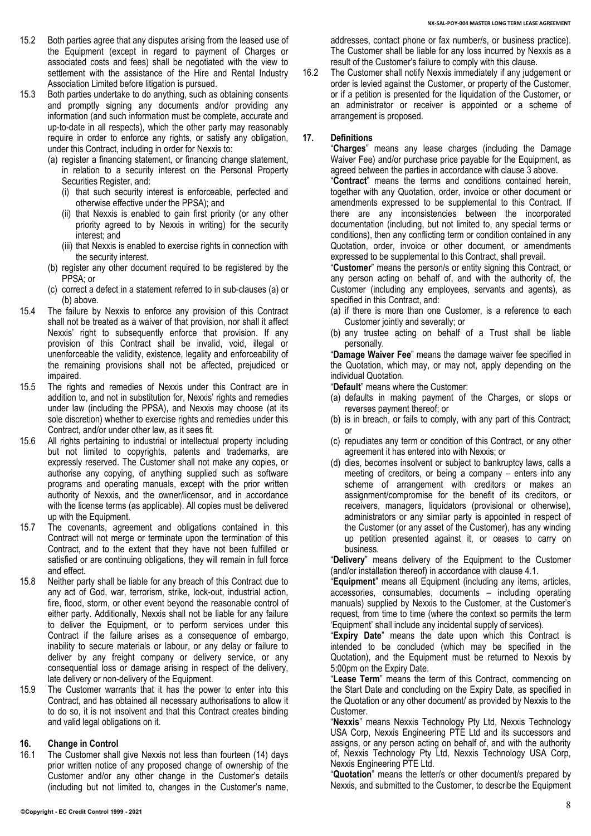- 15.2 Both parties agree that any disputes arising from the leased use of the Equipment (except in regard to payment of Charges or associated costs and fees) shall be negotiated with the view to settlement with the assistance of the Hire and Rental Industry Association Limited before litigation is pursued.
- <span id="page-7-0"></span>15.3 Both parties undertake to do anything, such as obtaining consents and promptly signing any documents and/or providing any information (and such information must be complete, accurate and up-to-date in all respects), which the other party may reasonably require in order to enforce any rights, or satisfy any obligation, under this Contract, including in order for Nexxis to:
	- (a) register a financing statement, or financing change statement, in relation to a security interest on the Personal Property Securities Register, and:
		- (i) that such security interest is enforceable, perfected and otherwise effective under the PPSA); and
		- (ii) that Nexxis is enabled to gain first priority (or any other priority agreed to by Nexxis in writing) for the security interest; and
		- (iii) that Nexxis is enabled to exercise rights in connection with the security interest.
	- (b) register any other document required to be registered by the PPSA; or
	- (c) correct a defect in a statement referred to in sub-clauses [\(a\)](#page-7-0) or [\(b\)](#page-7-1) above.
- <span id="page-7-1"></span>15.4 The failure by Nexxis to enforce any provision of this Contract shall not be treated as a waiver of that provision, nor shall it affect Nexxis' right to subsequently enforce that provision. If any provision of this Contract shall be invalid, void, illegal or unenforceable the validity, existence, legality and enforceability of the remaining provisions shall not be affected, prejudiced or impaired.
- 15.5 The rights and remedies of Nexxis under this Contract are in addition to, and not in substitution for, Nexxis' rights and remedies under law (including the PPSA), and Nexxis may choose (at its sole discretion) whether to exercise rights and remedies under this Contract, and/or under other law, as it sees fit.
- 15.6 All rights pertaining to industrial or intellectual property including but not limited to copyrights, patents and trademarks, are expressly reserved. The Customer shall not make any copies, or authorise any copying, of anything supplied such as software programs and operating manuals, except with the prior written authority of Nexxis, and the owner/licensor, and in accordance with the license terms (as applicable). All copies must be delivered up with the Equipment.
- 15.7 The covenants, agreement and obligations contained in this Contract will not merge or terminate upon the termination of this Contract, and to the extent that they have not been fulfilled or satisfied or are continuing obligations, they will remain in full force and effect.
- 15.8 Neither party shall be liable for any breach of this Contract due to any act of God, war, terrorism, strike, lock-out, industrial action, fire, flood, storm, or other event beyond the reasonable control of either party. Additionally, Nexxis shall not be liable for any failure to deliver the Equipment, or to perform services under this Contract if the failure arises as a consequence of embargo, inability to secure materials or labour, or any delay or failure to deliver by any freight company or delivery service, or any consequential loss or damage arising in respect of the delivery, late delivery or non-delivery of the Equipment.
- 15.9 The Customer warrants that it has the power to enter into this Contract, and has obtained all necessary authorisations to allow it to do so, it is not insolvent and that this Contract creates binding and valid legal obligations on it.

### **16. Change in Control**

16.1 The Customer shall give Nexxis not less than fourteen (14) days prior written notice of any proposed change of ownership of the Customer and/or any other change in the Customer's details (including but not limited to, changes in the Customer's name, 16.2 The Customer shall notify Nexxis immediately if any judgement or order is levied against the Customer, or property of the Customer, or if a petition is presented for the liquidation of the Customer, or an administrator or receiver is appointed or a scheme of arrangement is proposed.

#### **17. Definitions**

"**Charges**" means any lease charges (including the Damage Waiver Fee) and/or purchase price payable for the Equipment, as agreed between the parties in accordance with clause [3](#page-2-2) above.

"**Contract**" means the terms and conditions contained herein, together with any Quotation, order, invoice or other document or amendments expressed to be supplemental to this Contract. If there are any inconsistencies between the incorporated documentation (including, but not limited to, any special terms or conditions), then any conflicting term or condition contained in any Quotation, order, invoice or other document, or amendments expressed to be supplemental to this Contract, shall prevail.

"**Customer**" means the person/s or entity signing this Contract, or any person acting on behalf of, and with the authority of, the Customer (including any employees, servants and agents), as specified in this Contract, and:

- (a) if there is more than one Customer, is a reference to each Customer jointly and severally; or
- (b) any trustee acting on behalf of a Trust shall be liable personally.

"**Damage Waiver Fee**" means the damage waiver fee specified in the Quotation, which may, or may not, apply depending on the individual Quotation.

"**Default**" means where the Customer:

- (a) defaults in making payment of the Charges, or stops or reverses payment thereof; or
- (b) is in breach, or fails to comply, with any part of this Contract; or
- (c) repudiates any term or condition of this Contract, or any other agreement it has entered into with Nexxis; or
- (d) dies, becomes insolvent or subject to bankruptcy laws, calls a meeting of creditors, or being a company – enters into any scheme of arrangement with creditors or makes an assignment/compromise for the benefit of its creditors, or receivers, managers, liquidators (provisional or otherwise), administrators or any similar party is appointed in respect of the Customer (or any asset of the Customer), has any winding up petition presented against it, or ceases to carry on business.

"**Delivery**" means delivery of the Equipment to the Customer (and/or installation thereof) in accordance with clause [4.1.](#page-2-3)

"**Equipment**" means all Equipment (including any items, articles, accessories, consumables, documents – including operating manuals) supplied by Nexxis to the Customer, at the Customer's request, from time to time (where the context so permits the term 'Equipment' shall include any incidental supply of services).

"**Expiry Date**" means the date upon which this Contract is intended to be concluded (which may be specified in the Quotation), and the Equipment must be returned to Nexxis by 5:00pm on the Expiry Date.

"**Lease Term**" means the term of this Contract, commencing on the Start Date and concluding on the Expiry Date, as specified in the Quotation or any other document/ as provided by Nexxis to the Customer.

"**Nexxis**" means Nexxis Technology Pty Ltd, Nexxis Technology USA Corp, Nexxis Engineering PTE Ltd and its successors and assigns, or any person acting on behalf of, and with the authority of, Nexxis Technology Pty Ltd, Nexxis Technology USA Corp, Nexxis Engineering PTE Ltd.

"**Quotation**" means the letter/s or other document/s prepared by Nexxis, and submitted to the Customer, to describe the Equipment